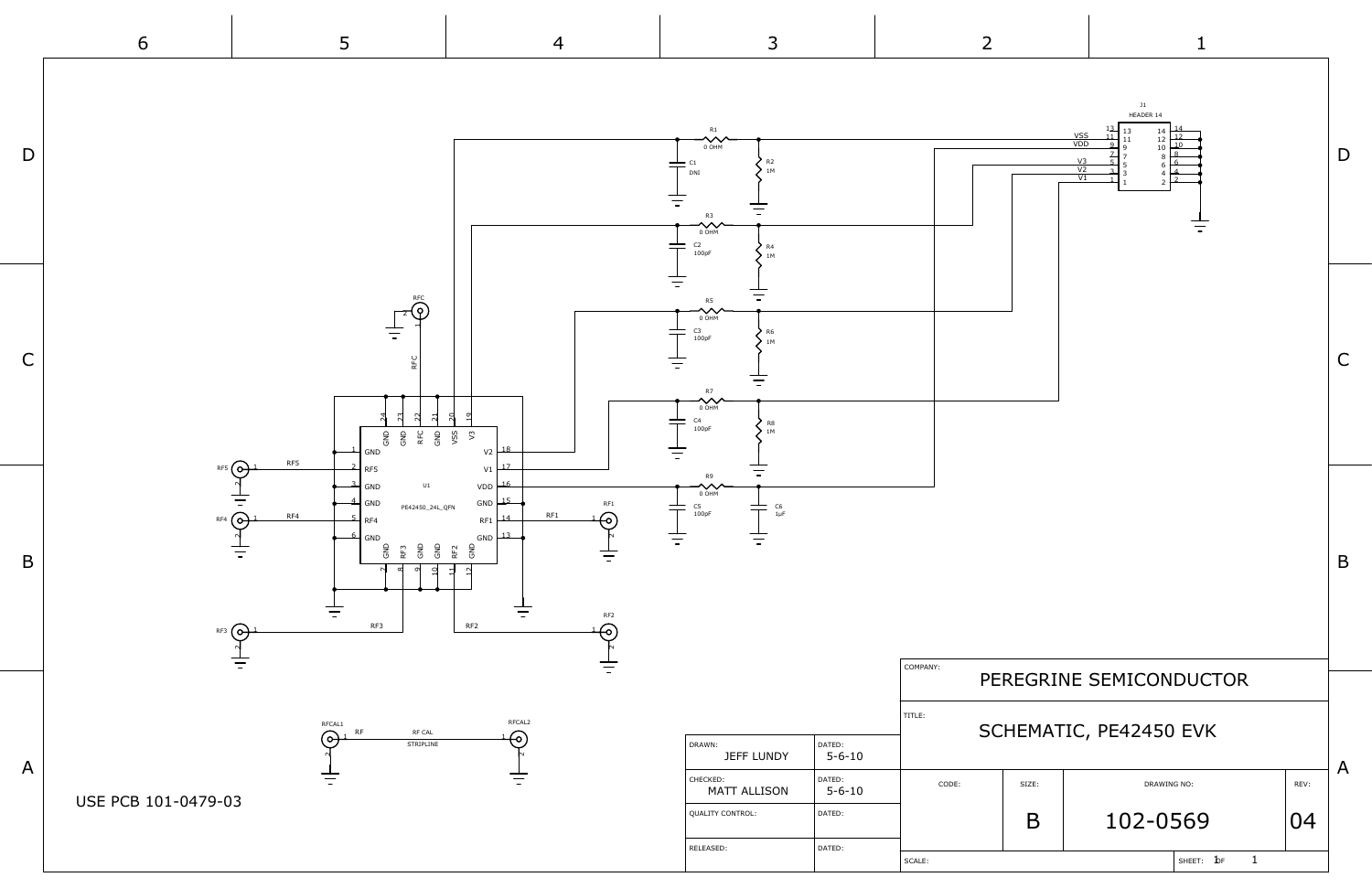

J1 HEADER 14

|                                 |       | $\begin{array}{c}\n13 \\ 11 \\ -2\n\end{array}$<br>$\frac{14}{12}$<br>$\begin{array}{c} 13 \\ 11 \\ 9 \\ 7 \\ 5 \\ 3 \\ 1 \end{array}$<br>$\begin{array}{c} 14 \\ 12 \\ 10 \\ 8 \\ 6 \\ 4 \\ 2 \end{array}$<br>VSS<br>VDD<br>10<br>$\begin{array}{c}\n8 \\ 6 \\ 4\n\end{array}$<br>$\frac{V3}{V2}$<br>$\overline{V1}$<br>$\overline{2}$<br>$\mathbf{1}$ |      |   |  |  |  |  |  |  |  |
|---------------------------------|-------|---------------------------------------------------------------------------------------------------------------------------------------------------------------------------------------------------------------------------------------------------------------------------------------------------------------------------------------------------------|------|---|--|--|--|--|--|--|--|
|                                 |       |                                                                                                                                                                                                                                                                                                                                                         |      | С |  |  |  |  |  |  |  |
|                                 |       |                                                                                                                                                                                                                                                                                                                                                         |      | B |  |  |  |  |  |  |  |
| INY:<br>PEREGRINE SEMICONDUCTOR |       |                                                                                                                                                                                                                                                                                                                                                         |      |   |  |  |  |  |  |  |  |
| SCHEMATIC, PE42450 EVK          |       |                                                                                                                                                                                                                                                                                                                                                         |      |   |  |  |  |  |  |  |  |
| CODE:                           | SIZE: | DRAWING NO:                                                                                                                                                                                                                                                                                                                                             | REV: | A |  |  |  |  |  |  |  |
|                                 | B     | 102-0569                                                                                                                                                                                                                                                                                                                                                | 04   |   |  |  |  |  |  |  |  |
|                                 |       | $\mathbf 1$<br>SHEET: $b$ F                                                                                                                                                                                                                                                                                                                             |      |   |  |  |  |  |  |  |  |
|                                 |       |                                                                                                                                                                                                                                                                                                                                                         |      |   |  |  |  |  |  |  |  |